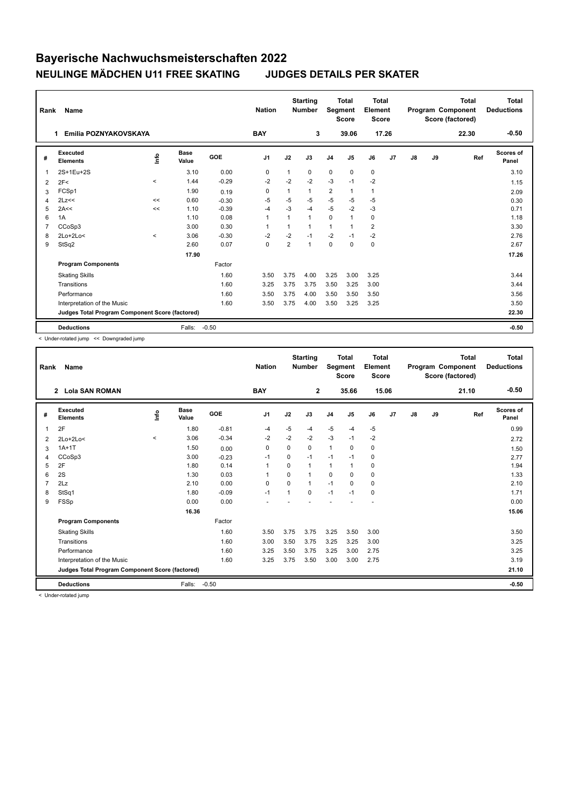## **Bayerische Nachwuchsmeisterschaften 2022 NEULINGE MÄDCHEN U11 FREE SKATING JUDGES DETAILS PER SKATER**

| Rank           | <b>Name</b>                                     |          |                      |            | <b>Nation</b>  |                | <b>Starting</b><br><b>Number</b> | <b>Segment</b> | <b>Total</b><br><b>Score</b> | Total<br>Element<br><b>Score</b> |                |    |    | <b>Total</b><br>Program Component<br>Score (factored) | <b>Total</b><br><b>Deductions</b> |
|----------------|-------------------------------------------------|----------|----------------------|------------|----------------|----------------|----------------------------------|----------------|------------------------------|----------------------------------|----------------|----|----|-------------------------------------------------------|-----------------------------------|
|                | Emilia POZNYAKOVSKAYA<br>1                      |          |                      |            | <b>BAY</b>     |                | 3                                |                | 39.06                        | 17.26                            |                |    |    | 22.30                                                 | $-0.50$                           |
| #              | Executed<br><b>Elements</b>                     | ۴        | <b>Base</b><br>Value | <b>GOE</b> | J <sub>1</sub> | J2             | J3                               | J <sub>4</sub> | J <sub>5</sub>               | J6                               | J <sub>7</sub> | J8 | J9 | Ref                                                   | <b>Scores of</b><br>Panel         |
| 1              | 2S+1Eu+2S                                       |          | 3.10                 | 0.00       | 0              | $\mathbf{1}$   | 0                                | $\mathbf 0$    | 0                            | $\mathbf 0$                      |                |    |    |                                                       | 3.10                              |
| 2              | 2F<                                             | $\hat{}$ | 1.44                 | $-0.29$    | $-2$           | $-2$           | $-2$                             | $-3$           | $-1$                         | $-2$                             |                |    |    |                                                       | 1.15                              |
| 3              | FCSp1                                           |          | 1.90                 | 0.19       | 0              |                | 1                                | $\overline{2}$ | $\mathbf{1}$                 | 1                                |                |    |    |                                                       | 2.09                              |
| 4              | 2Lz<<                                           | <<       | 0.60                 | $-0.30$    | -5             | $-5$           | $-5$                             | $-5$           | $-5$                         | $-5$                             |                |    |    |                                                       | 0.30                              |
| 5              | 2A<<                                            | <<       | 1.10                 | $-0.39$    | $-4$           | $-3$           | $-4$                             | $-5$           | $-2$                         | $-3$                             |                |    |    |                                                       | 0.71                              |
| 6              | 1A                                              |          | 1.10                 | 0.08       | $\mathbf{1}$   |                | 1                                | $\mathbf 0$    | $\mathbf{1}$                 | 0                                |                |    |    |                                                       | 1.18                              |
| $\overline{7}$ | CCoSp3                                          |          | 3.00                 | 0.30       | $\mathbf{1}$   |                | 1                                | $\mathbf{1}$   | $\mathbf{1}$                 | $\overline{2}$                   |                |    |    |                                                       | 3.30                              |
| 8              | $2Lo+2Lo<$                                      | $\prec$  | 3.06                 | $-0.30$    | $-2$           | $-2$           | $-1$                             | $-2$           | $-1$                         | $-2$                             |                |    |    |                                                       | 2.76                              |
| 9              | StSq2                                           |          | 2.60                 | 0.07       | 0              | $\overline{2}$ | 1                                | $\mathbf 0$    | $\Omega$                     | 0                                |                |    |    |                                                       | 2.67                              |
|                |                                                 |          | 17.90                |            |                |                |                                  |                |                              |                                  |                |    |    |                                                       | 17.26                             |
|                | <b>Program Components</b>                       |          |                      | Factor     |                |                |                                  |                |                              |                                  |                |    |    |                                                       |                                   |
|                | <b>Skating Skills</b>                           |          |                      | 1.60       | 3.50           | 3.75           | 4.00                             | 3.25           | 3.00                         | 3.25                             |                |    |    |                                                       | 3.44                              |
|                | Transitions                                     |          |                      | 1.60       | 3.25           | 3.75           | 3.75                             | 3.50           | 3.25                         | 3.00                             |                |    |    |                                                       | 3.44                              |
|                | Performance                                     |          |                      | 1.60       | 3.50           | 3.75           | 4.00                             | 3.50           | 3.50                         | 3.50                             |                |    |    |                                                       | 3.56                              |
|                | Interpretation of the Music                     |          |                      | 1.60       | 3.50           | 3.75           | 4.00                             | 3.50           | 3.25                         | 3.25                             |                |    |    |                                                       | 3.50                              |
|                | Judges Total Program Component Score (factored) |          |                      |            |                |                |                                  |                |                              |                                  |                |    |    |                                                       | 22.30                             |
|                | <b>Deductions</b>                               |          | Falls:               | $-0.50$    |                |                |                                  |                |                              |                                  |                |    |    |                                                       | $-0.50$                           |

< Under-rotated jump << Downgraded jump

| Rank           | Name                                            |         |                      |         | <b>Nation</b>  |             | <b>Starting</b><br><b>Number</b> |                | <b>Total</b><br>Segment<br><b>Score</b> | Total<br>Element<br><b>Score</b> |                |    |    | <b>Total</b><br>Program Component<br>Score (factored) | <b>Total</b><br><b>Deductions</b> |
|----------------|-------------------------------------------------|---------|----------------------|---------|----------------|-------------|----------------------------------|----------------|-----------------------------------------|----------------------------------|----------------|----|----|-------------------------------------------------------|-----------------------------------|
|                | 2 Lola SAN ROMAN                                |         |                      |         | <b>BAY</b>     |             | $\mathbf{2}$                     |                | 35.66                                   | 15.06                            |                |    |    | 21.10                                                 | $-0.50$                           |
| #              | Executed<br><b>Elements</b>                     | ١nf٥    | <b>Base</b><br>Value | GOE     | J <sub>1</sub> | J2          | J3                               | J <sub>4</sub> | J5                                      | J6                               | J <sub>7</sub> | J8 | J9 | Ref                                                   | Scores of<br>Panel                |
| 1              | 2F                                              |         | 1.80                 | $-0.81$ | $-4$           | $-5$        | -4                               | $-5$           | $-4$                                    | $-5$                             |                |    |    |                                                       | 0.99                              |
| $\overline{2}$ | $2Lo+2Lo<$                                      | $\prec$ | 3.06                 | $-0.34$ | $-2$           | $-2$        | $-2$                             | $-3$           | $-1$                                    | $-2$                             |                |    |    |                                                       | 2.72                              |
| 3              | $1A+1T$                                         |         | 1.50                 | 0.00    | 0              | $\mathbf 0$ | $\Omega$                         | $\mathbf{1}$   | 0                                       | $\mathbf 0$                      |                |    |    |                                                       | 1.50                              |
| 4              | CCoSp3                                          |         | 3.00                 | $-0.23$ | $-1$           | 0           | $-1$                             | $-1$           | $-1$                                    | $\mathbf 0$                      |                |    |    |                                                       | 2.77                              |
| 5              | 2F                                              |         | 1.80                 | 0.14    | $\overline{1}$ | $\Omega$    | $\mathbf{1}$                     | $\mathbf{1}$   | $\overline{1}$                          | $\mathbf 0$                      |                |    |    |                                                       | 1.94                              |
| 6              | 2S                                              |         | 1.30                 | 0.03    | -1             | $\Omega$    | $\overline{1}$                   | $\Omega$       | $\Omega$                                | $\mathbf 0$                      |                |    |    |                                                       | 1.33                              |
| $\overline{7}$ | 2Lz                                             |         | 2.10                 | 0.00    | 0              | 0           | $\mathbf{1}$                     | $-1$           | 0                                       | $\mathbf 0$                      |                |    |    |                                                       | 2.10                              |
| 8              | StSq1                                           |         | 1.80                 | $-0.09$ | $-1$           | 1           | $\Omega$                         | $-1$           | $-1$                                    | $\mathbf 0$                      |                |    |    |                                                       | 1.71                              |
| 9              | FSSp                                            |         | 0.00                 | 0.00    |                |             |                                  |                |                                         |                                  |                |    |    |                                                       | 0.00                              |
|                |                                                 |         | 16.36                |         |                |             |                                  |                |                                         |                                  |                |    |    |                                                       | 15.06                             |
|                | <b>Program Components</b>                       |         |                      | Factor  |                |             |                                  |                |                                         |                                  |                |    |    |                                                       |                                   |
|                | <b>Skating Skills</b>                           |         |                      | 1.60    | 3.50           | 3.75        | 3.75                             | 3.25           | 3.50                                    | 3.00                             |                |    |    |                                                       | 3.50                              |
|                | Transitions                                     |         |                      | 1.60    | 3.00           | 3.50        | 3.75                             | 3.25           | 3.25                                    | 3.00                             |                |    |    |                                                       | 3.25                              |
|                | Performance                                     |         |                      | 1.60    | 3.25           | 3.50        | 3.75                             | 3.25           | 3.00                                    | 2.75                             |                |    |    |                                                       | 3.25                              |
|                | Interpretation of the Music                     |         |                      | 1.60    | 3.25           | 3.75        | 3.50                             | 3.00           | 3.00                                    | 2.75                             |                |    |    |                                                       | 3.19                              |
|                | Judges Total Program Component Score (factored) |         |                      |         |                |             |                                  |                |                                         |                                  |                |    |    |                                                       | 21.10                             |
|                | <b>Deductions</b>                               |         | Falls:               | $-0.50$ |                |             |                                  |                |                                         |                                  |                |    |    |                                                       | $-0.50$                           |

< Under-rotated jump